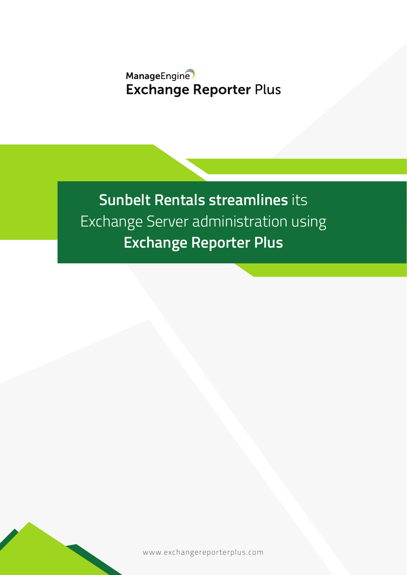# ManageEngine **Exchange Reporter Plus**

**Sunbelt Rentals streamlines** its Exchange Server administration using **Exchange Reporter Plus**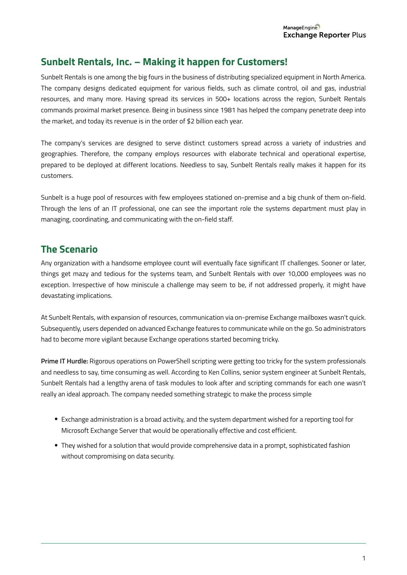## **Sunbelt Rentals, Inc. – Making it happen for Customers!**

Sunbelt Rentals is one among the big fours in the business of distributing specialized equipment in North America. The company designs dedicated equipment for various fields, such as climate control, oil and gas, industrial resources, and many more. Having spread its services in 500+ locations across the region, Sunbelt Rentals commands proximal market presence. Being in business since 1981 has helped the company penetrate deep into the market, and today its revenue is in the order of \$2 billion each year.

The company's services are designed to serve distinct customers spread across a variety of industries and geographies. Therefore, the company employs resources with elaborate technical and operational expertise, prepared to be deployed at different locations. Needless to say, Sunbelt Rentals really makes it happen for its customers.

Sunbelt is a huge pool of resources with few employees stationed on-premise and a big chunk of them on-field. Through the lens of an IT professional, one can see the important role the systems department must play in managing, coordinating, and communicating with the on-field staff.

# **The Scenario**

Any organization with a handsome employee count will eventually face significant IT challenges. Sooner or later, things get mazy and tedious for the systems team, and Sunbelt Rentals with over 10,000 employees was no exception. Irrespective of how miniscule a challenge may seem to be, if not addressed properly, it might have devastating implications.

At Sunbelt Rentals, with expansion of resources, communication via on-premise Exchange mailboxes wasn't quick. Subsequently, users depended on advanced Exchange features to communicate while on the go. So administrators had to become more vigilant because Exchange operations started becoming tricky.

**Prime IT Hurdle:** Rigorous operations on PowerShell scripting were getting too tricky for the system professionals and needless to say, time consuming as well. According to Ken Collins, senior system engineer at Sunbelt Rentals, Sunbelt Rentals had a lengthy arena of task modules to look after and scripting commands for each one wasn't really an ideal approach. The company needed something strategic to make the process simple

- Exchange administration is a broad activity, and the system department wished for a reporting tool for Microsoft Exchange Server that would be operationally effective and cost efficient.
- They wished for a solution that would provide comprehensive data in a prompt, sophisticated fashion without compromising on data security.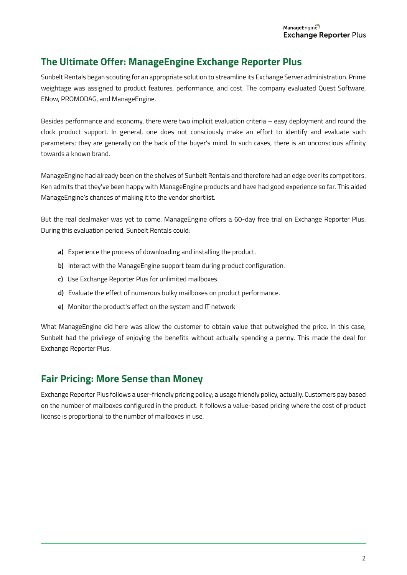## **The Ultimate Offer: ManageEngine Exchange Reporter Plus**

Sunbelt Rentals began scouting for an appropriate solution to streamline its Exchange Server administration. Prime weightage was assigned to product features, performance, and cost. The company evaluated Quest Software, ENow, PROMODAG, and ManageEngine.

Besides performance and economy, there were two implicit evaluation criteria – easy deployment and round the clock product support. In general, one does not consciously make an effort to identify and evaluate such parameters; they are generally on the back of the buyer's mind. In such cases, there is an unconscious affinity towards a known brand.

ManageEngine had already been on the shelves of Sunbelt Rentals and therefore had an edge over its competitors. Ken admits that they've been happy with ManageEngine products and have had good experience so far. This aided ManageEngine's chances of making it to the vendor shortlist.

But the real dealmaker was yet to come. ManageEngine offers a 60-day free trial on Exchange Reporter Plus. During this evaluation period, Sunbelt Rentals could:

- **a)** Experience the process of downloading and installing the product.
- **b)** Interact with the ManageEngine support team during product configuration.
- **c)** Use Exchange Reporter Plus for unlimited mailboxes.
- **d)** Evaluate the effect of numerous bulky mailboxes on product performance.
- **e)** Monitor the product's effect on the system and IT network

What ManageEngine did here was allow the customer to obtain value that outweighed the price. In this case, Sunbelt had the privilege of enjoying the benefits without actually spending a penny. This made the deal for Exchange Reporter Plus.

#### **Fair Pricing: More Sense than Money**

Exchange Reporter Plus follows a user-friendly pricing policy; a usage friendly policy, actually. Customers pay based on the number of mailboxes configured in the product. It follows a value-based pricing where the cost of product license is proportional to the number of mailboxes in use.